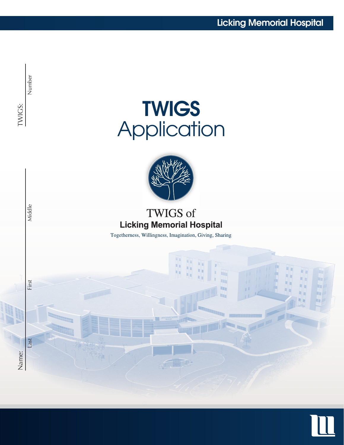

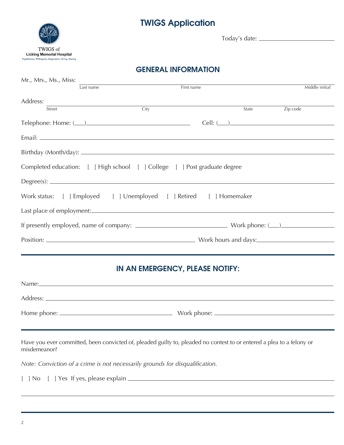# TWIGS Application



Today's date:

## GENERAL INFORMATION

| Mr., Mrs., Ms., Miss:                                                     |           |      |            |       |                |                |
|---------------------------------------------------------------------------|-----------|------|------------|-------|----------------|----------------|
|                                                                           | Last name |      | First name |       |                | Middle initial |
| Address:                                                                  |           |      |            |       |                |                |
| Street                                                                    |           | City |            | State | Zip code       |                |
| $Telephone: Home: (________)$                                             |           |      |            |       | $Cell: (\_\_)$ |                |
|                                                                           |           |      |            |       |                |                |
|                                                                           |           |      |            |       |                |                |
| Completed education: [ ] High school [ ] College [ ] Post graduate degree |           |      |            |       |                |                |
| Degree(s):                                                                |           |      |            |       |                |                |
| Work status: [ ] Employed [ ] Unemployed [ ] Retired [ ] Homemaker        |           |      |            |       |                |                |
|                                                                           |           |      |            |       |                |                |
|                                                                           |           |      |            |       |                |                |
|                                                                           |           |      |            |       |                |                |
|                                                                           |           |      |            |       |                |                |

#### IN AN EMERGENCY, PLEASE NOTIFY:

| Name:         |                 |
|---------------|-----------------|
| Address:      |                 |
| Home phone: _ | Work phone: ___ |
|               |                 |

Have you ever committed, been convicted of, pleaded guilty to, pleaded no contest to or entered a plea to a felony or misdemeanor?

*Note: Conviction of a crime is not necessarily grounds for disqualification.*

[ ] No [ ] Yes If yes, please explain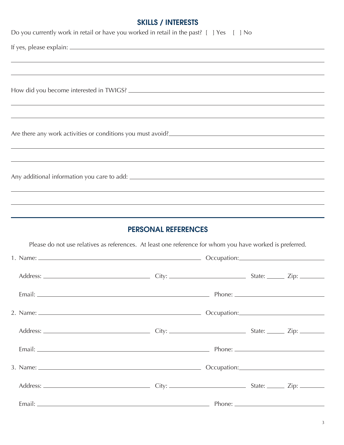## SKILLS / INTERESTS

| Do you currently work in retail or have you worked in retail in the past? [ ] Yes [ ] No                                                                                                                                            |  |  |
|-------------------------------------------------------------------------------------------------------------------------------------------------------------------------------------------------------------------------------------|--|--|
|                                                                                                                                                                                                                                     |  |  |
| <u> 1989 - Andrea Santana, amerikana amerikana amerikana amerikana amerikana amerikana amerikana amerikana amerika</u>                                                                                                              |  |  |
|                                                                                                                                                                                                                                     |  |  |
|                                                                                                                                                                                                                                     |  |  |
| Are there any work activities or conditions you must avoid?                                                                                                                                                                         |  |  |
| ,我们也不能在这里的时候,我们也不能在这里的时候,我们也不能会在这里的时候,我们也不能会在这里的时候,我们也不能会在这里的时候,我们也不能会在这里的时候,我们也<br>,我们也不能在这里的时候,我们也不能在这里的时候,我们也不能不能不能不能不能不能不能不能不能不能不能不能不能不能不能。<br>第2012章 我们的时候,我们的时候,我们的时候,我们的时候,我们的时候,我们的时候,我们的时候,我们的时候,我们的时候,我们的时候,我们的时候,我们的时候,我 |  |  |
|                                                                                                                                                                                                                                     |  |  |
| ,我们也不能会有什么。""我们的人,我们也不能会有什么?""我们的人,我们也不能会有什么?""我们的人,我们也不能会有什么?""我们的人,我们也不能会有什么?""                                                                                                                                                   |  |  |
| ,我们也不能在这里的时候,我们也不能在这里的时候,我们也不能会不能会不能会不能会不能会不能会不能会不能会不能会不能会。<br>第2012章 我们的时候,我们的时候,我们的时候,我们的时候,我们的时候,我们的时候,我们的时候,我们的时候,我们的时候,我们的时候,我们的时候,我们的时候,我                                                                                     |  |  |
| <b>PERSONAL REFERENCES</b>                                                                                                                                                                                                          |  |  |
| Please do not use relatives as references. At least one reference for whom you have worked is preferred.                                                                                                                            |  |  |
|                                                                                                                                                                                                                                     |  |  |
|                                                                                                                                                                                                                                     |  |  |
|                                                                                                                                                                                                                                     |  |  |
|                                                                                                                                                                                                                                     |  |  |
|                                                                                                                                                                                                                                     |  |  |
|                                                                                                                                                                                                                                     |  |  |
|                                                                                                                                                                                                                                     |  |  |
|                                                                                                                                                                                                                                     |  |  |